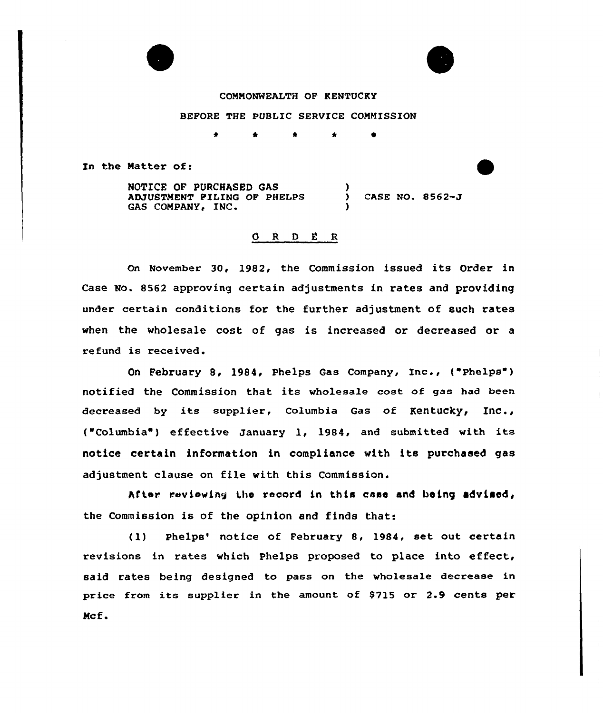## COMMONWEALTH OF KENTUCKY

BEFORE THE PUBLIC SERVICE COMMISSION

\* \*

In the Matter of:

NOTICE OF PURCHASED GAS ADJUSTMENT FILING OF PHELPS GAS COMPANY, INC. ) CASE NO- 8562-J )

# $\begin{array}{ccccccccc}\n0 & R & D & E & R\n\end{array}$

on November 30, 1982, the commission issued its order in Case No. 8562 approving certain adjustments in rates and providing under certain conditions for the further adjustment of such rates when the wholesale cost of gas is increased or decreased or a refund is received.

On February 8, 1984, Phelps Gas Company, Inc., ("Phelps") notified the Commission that its wholesale cost of gas had been decreased by its supplier, Columbia Gas of Kentucky, Inc., {"Columbia ) effective January 1, 1984, and submitted with its notice certain information in compliance with its purchased gas adjustment clause on file with this Commission.

After reviewing the record in this case and being advised, the Commission is of the opinion and finds that:

(1) Phelps' notice of February 8, 1984, set out certain revisions in rates which Phelps proposed to place into effeet, said rates being designed to pass on the wholesale decrease in price from its supplier in the amount of S715 or 2.9 cents per Ncf.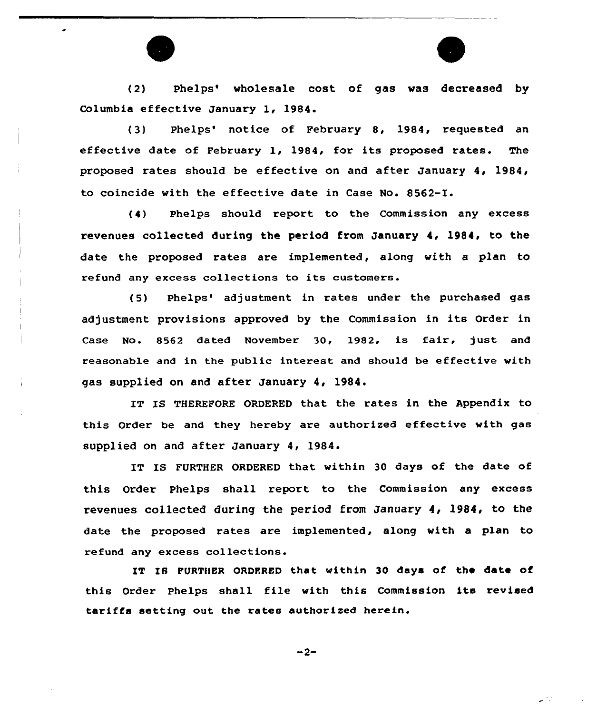



(2) Phelps' wholesale cost of gas was decreased by Columbia effective January 1, 1984.

(3) Phelps' notice of February 8, 1984, requested an effective date of February 1, 1984, for its proposed rates. The proposed rates should be effective on and after January 4, 1984, to coincide with the effective date in Case No. 8562-I.

(4) Phelps should report to the Commission any excess revenues collected during the period from January 4, 1984, to the date the proposed rates are implemented, along with a plan to refund any excess collections to its customers.

(5) Phelps' adjustment in rates under the purchased gas adjustment provisions approved by the Commission in its Order in Case No. 8562 dated November 30, 1982, is fair, just and reasonable and in the public interest and should be effective with gas supplied on and after January 4, 1984.

IT IS THEREFORE ORDERED that the rates in the Appendix to this Order be and they hereby are authorized effective with gas supplied on and after January 4, 19S4.

IT IS FURTHER ORDERED that within 30 days of the date of this Order phelps shall report to the Commission any excess revenues collected during the period from January 4, 1984, to the date the proposed rates are implemented, along with a plan to refund any excess collections.

IT IS FURTHER ORDFRED that within 30 days of the date of this Order phelps shall file with this Commission its revised tariffs setting out the rates authorized herein.

 $-2-$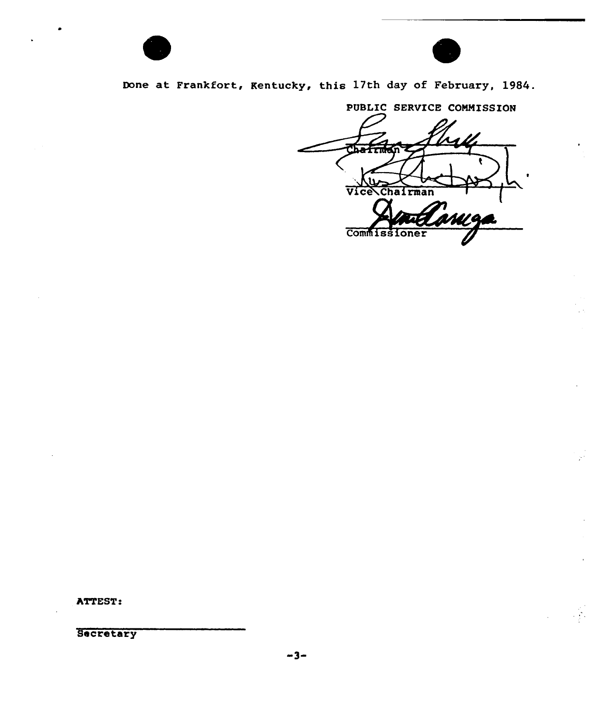



Done at Frankfort, Kentucky, this 17th day of February, 1984.

PUBLIC SERVICE COMMISSION Vice Chairman ML 91 Commissioner

ATTEST:

Secretary